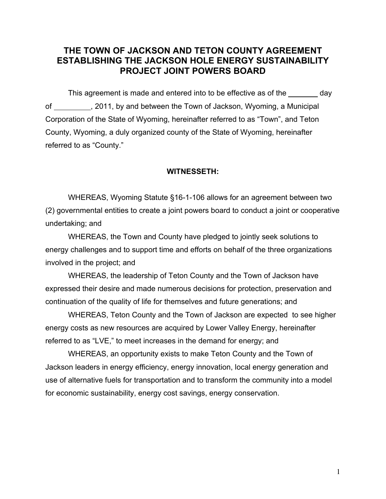# **THE TOWN OF JACKSON AND TETON COUNTY AGREEMENT ESTABLISHING THE JACKSON HOLE ENERGY SUSTAINABILITY PROJECT JOINT POWERS BOARD**

This agreement is made and entered into to be effective as of the \_\_\_\_\_\_\_ day of , 2011, by and between the Town of Jackson, Wyoming, a Municipal Corporation of the State of Wyoming, hereinafter referred to as "Town", and Teton County, Wyoming, a duly organized county of the State of Wyoming, hereinafter referred to as "County."

#### **WITNESSETH:**

WHEREAS, Wyoming Statute §16-1-106 allows for an agreement between two (2) governmental entities to create a joint powers board to conduct a joint or cooperative undertaking; and

WHEREAS, the Town and County have pledged to jointly seek solutions to energy challenges and to support time and efforts on behalf of the three organizations involved in the project; and

WHEREAS, the leadership of Teton County and the Town of Jackson have expressed their desire and made numerous decisions for protection, preservation and continuation of the quality of life for themselves and future generations; and

WHEREAS, Teton County and the Town of Jackson are expected to see higher energy costs as new resources are acquired by Lower Valley Energy, hereinafter referred to as "LVE," to meet increases in the demand for energy; and

WHEREAS, an opportunity exists to make Teton County and the Town of Jackson leaders in energy efficiency, energy innovation, local energy generation and use of alternative fuels for transportation and to transform the community into a model for economic sustainability, energy cost savings, energy conservation.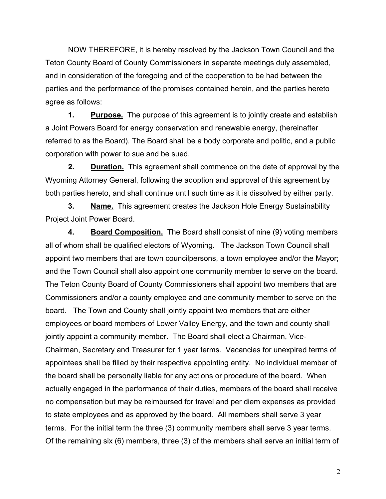NOW THEREFORE, it is hereby resolved by the Jackson Town Council and the Teton County Board of County Commissioners in separate meetings duly assembled, and in consideration of the foregoing and of the cooperation to be had between the parties and the performance of the promises contained herein, and the parties hereto agree as follows:

**1. Purpose.** The purpose of this agreement is to jointly create and establish a Joint Powers Board for energy conservation and renewable energy, (hereinafter referred to as the Board). The Board shall be a body corporate and politic, and a public corporation with power to sue and be sued.

**2.** Duration. This agreement shall commence on the date of approval by the Wyoming Attorney General, following the adoption and approval of this agreement by both parties hereto, and shall continue until such time as it is dissolved by either party.

**3. Name.** This agreement creates the Jackson Hole Energy Sustainability Project Joint Power Board.

**4. Board Composition.** The Board shall consist of nine (9) voting members all of whom shall be qualified electors of Wyoming. The Jackson Town Council shall appoint two members that are town councilpersons, a town employee and/or the Mayor; and the Town Council shall also appoint one community member to serve on the board. The Teton County Board of County Commissioners shall appoint two members that are Commissioners and/or a county employee and one community member to serve on the board. The Town and County shall jointly appoint two members that are either employees or board members of Lower Valley Energy, and the town and county shall jointly appoint a community member. The Board shall elect a Chairman, Vice-Chairman, Secretary and Treasurer for 1 year terms. Vacancies for unexpired terms of appointees shall be filled by their respective appointing entity. No individual member of the board shall be personally liable for any actions or procedure of the board. When actually engaged in the performance of their duties, members of the board shall receive no compensation but may be reimbursed for travel and per diem expenses as provided to state employees and as approved by the board. All members shall serve 3 year terms. For the initial term the three (3) community members shall serve 3 year terms. Of the remaining six (6) members, three (3) of the members shall serve an initial term of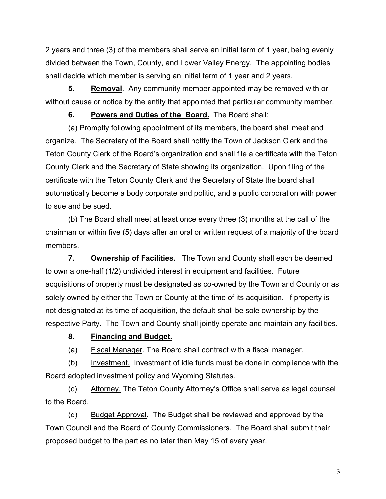2 years and three (3) of the members shall serve an initial term of 1 year, being evenly divided between the Town, County, and Lower Valley Energy. The appointing bodies shall decide which member is serving an initial term of 1 year and 2 years.

**5. Removal**. Any community member appointed may be removed with or without cause or notice by the entity that appointed that particular community member.

### **6. Powers and Duties of the Board.** The Board shall:

(a) Promptly following appointment of its members, the board shall meet and organize. The Secretary of the Board shall notify the Town of Jackson Clerk and the Teton County Clerk of the Board's organization and shall file a certificate with the Teton County Clerk and the Secretary of State showing its organization. Upon filing of the certificate with the Teton County Clerk and the Secretary of State the board shall automatically become a body corporate and politic, and a public corporation with power to sue and be sued.

(b) The Board shall meet at least once every three (3) months at the call of the chairman or within five (5) days after an oral or written request of a majority of the board members.

**7. Ownership of Facilities.** The Town and County shall each be deemed to own a one-half (1/2) undivided interest in equipment and facilities. Future acquisitions of property must be designated as co-owned by the Town and County or as solely owned by either the Town or County at the time of its acquisition. If property is not designated at its time of acquisition, the default shall be sole ownership by the respective Party. The Town and County shall jointly operate and maintain any facilities.

# **8. Financing and Budget.**

(a) Fiscal Manager. The Board shall contract with a fiscal manager.

(b) Investment. Investment of idle funds must be done in compliance with the Board adopted investment policy and Wyoming Statutes.

(c) Attorney. The Teton County Attorney's Office shall serve as legal counsel to the Board.

(d) Budget Approval. The Budget shall be reviewed and approved by the Town Council and the Board of County Commissioners. The Board shall submit their proposed budget to the parties no later than May 15 of every year.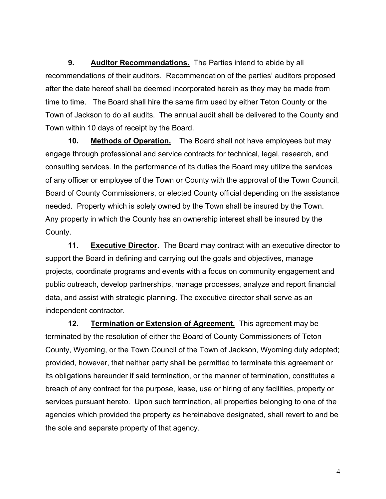**9. Auditor Recommendations.** The Parties intend to abide by all recommendations of their auditors. Recommendation of the parties' auditors proposed after the date hereof shall be deemed incorporated herein as they may be made from time to time. The Board shall hire the same firm used by either Teton County or the Town of Jackson to do all audits. The annual audit shall be delivered to the County and Town within 10 days of receipt by the Board.

**10. Methods of Operation.** The Board shall not have employees but may engage through professional and service contracts for technical, legal, research, and consulting services. In the performance of its duties the Board may utilize the services of any officer or employee of the Town or County with the approval of the Town Council, Board of County Commissioners, or elected County official depending on the assistance needed. Property which is solely owned by the Town shall be insured by the Town. Any property in which the County has an ownership interest shall be insured by the County.

**11.** Executive Director. The Board may contract with an executive director to support the Board in defining and carrying out the goals and objectives, manage projects, coordinate programs and events with a focus on community engagement and public outreach, develop partnerships, manage processes, analyze and report financial data, and assist with strategic planning. The executive director shall serve as an independent contractor.

**12. Termination or Extension of Agreement.** This agreement may be terminated by the resolution of either the Board of County Commissioners of Teton County, Wyoming, or the Town Council of the Town of Jackson, Wyoming duly adopted; provided, however, that neither party shall be permitted to terminate this agreement or its obligations hereunder if said termination, or the manner of termination, constitutes a breach of any contract for the purpose, lease, use or hiring of any facilities, property or services pursuant hereto. Upon such termination, all properties belonging to one of the agencies which provided the property as hereinabove designated, shall revert to and be the sole and separate property of that agency.

4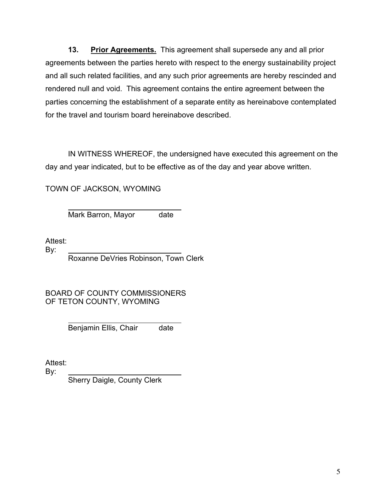**13. Prior Agreements.** This agreement shall supersede any and all prior agreements between the parties hereto with respect to the energy sustainability project and all such related facilities, and any such prior agreements are hereby rescinded and rendered null and void. This agreement contains the entire agreement between the parties concerning the establishment of a separate entity as hereinabove contemplated for the travel and tourism board hereinabove described.

IN WITNESS WHEREOF, the undersigned have executed this agreement on the day and year indicated, but to be effective as of the day and year above written.

TOWN OF JACKSON, WYOMING

l Mark Barron, Mayor date

Attest:

By:

Roxanne DeVries Robinson, Town Clerk

BOARD OF COUNTY COMMISSIONERS OF TETON COUNTY, WYOMING

> l Benjamin Ellis, Chair date

Attest:

By:

Sherry Daigle, County Clerk